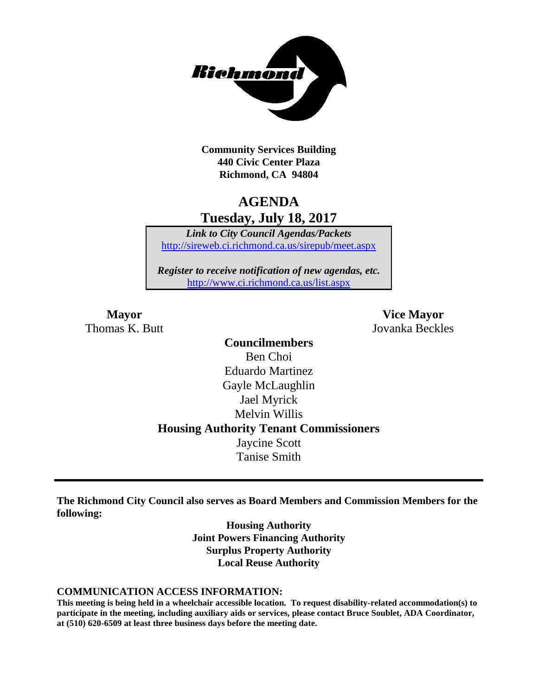

**Community Services Building 440 Civic Center Plaza Richmond, CA 94804**

## **AGENDA Tuesday, July 18, 2017**

*Link to City Council Agendas/Packets* <http://sireweb.ci.richmond.ca.us/sirepub/meet.aspx>

*Register to receive notification of new agendas, etc.* <http://www.ci.richmond.ca.us/list.aspx>

Thomas K. Butt Jovanka Beckles

**Mayor Vice Mayor**

**Councilmembers** Ben Choi Eduardo Martinez Gayle McLaughlin Jael Myrick Melvin Willis **Housing Authority Tenant Commissioners** Jaycine Scott Tanise Smith

**The Richmond City Council also serves as Board Members and Commission Members for the following:**

> **Housing Authority Joint Powers Financing Authority Surplus Property Authority Local Reuse Authority**

#### **COMMUNICATION ACCESS INFORMATION:**

**This meeting is being held in a wheelchair accessible location. To request disability-related accommodation(s) to participate in the meeting, including auxiliary aids or services, please contact Bruce Soublet, ADA Coordinator, at (510) 620-6509 at least three business days before the meeting date.**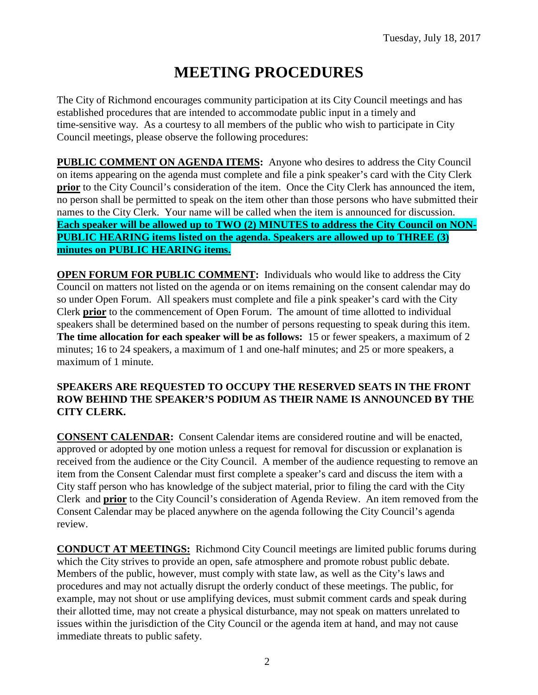# **MEETING PROCEDURES**

The City of Richmond encourages community participation at its City Council meetings and has established procedures that are intended to accommodate public input in a timely and time-sensitive way. As a courtesy to all members of the public who wish to participate in City Council meetings, please observe the following procedures:

**PUBLIC COMMENT ON AGENDA ITEMS:** Anyone who desires to address the City Council on items appearing on the agenda must complete and file a pink speaker's card with the City Clerk **prior** to the City Council's consideration of the item. Once the City Clerk has announced the item, no person shall be permitted to speak on the item other than those persons who have submitted their names to the City Clerk. Your name will be called when the item is announced for discussion. **Each speaker will be allowed up to TWO (2) MINUTES to address the City Council on NON-PUBLIC HEARING items listed on the agenda. Speakers are allowed up to THREE (3) minutes on PUBLIC HEARING items.**

**OPEN FORUM FOR PUBLIC COMMENT:** Individuals who would like to address the City Council on matters not listed on the agenda or on items remaining on the consent calendar may do so under Open Forum. All speakers must complete and file a pink speaker's card with the City Clerk **prior** to the commencement of Open Forum. The amount of time allotted to individual speakers shall be determined based on the number of persons requesting to speak during this item. **The time allocation for each speaker will be as follows:** 15 or fewer speakers, a maximum of 2 minutes; 16 to 24 speakers, a maximum of 1 and one-half minutes; and 25 or more speakers, a maximum of 1 minute.

#### **SPEAKERS ARE REQUESTED TO OCCUPY THE RESERVED SEATS IN THE FRONT ROW BEHIND THE SPEAKER'S PODIUM AS THEIR NAME IS ANNOUNCED BY THE CITY CLERK.**

**CONSENT CALENDAR:** Consent Calendar items are considered routine and will be enacted, approved or adopted by one motion unless a request for removal for discussion or explanation is received from the audience or the City Council. A member of the audience requesting to remove an item from the Consent Calendar must first complete a speaker's card and discuss the item with a City staff person who has knowledge of the subject material, prior to filing the card with the City Clerk and **prior** to the City Council's consideration of Agenda Review. An item removed from the Consent Calendar may be placed anywhere on the agenda following the City Council's agenda review.

**CONDUCT AT MEETINGS:** Richmond City Council meetings are limited public forums during which the City strives to provide an open, safe atmosphere and promote robust public debate. Members of the public, however, must comply with state law, as well as the City's laws and procedures and may not actually disrupt the orderly conduct of these meetings. The public, for example, may not shout or use amplifying devices, must submit comment cards and speak during their allotted time, may not create a physical disturbance, may not speak on matters unrelated to issues within the jurisdiction of the City Council or the agenda item at hand, and may not cause immediate threats to public safety.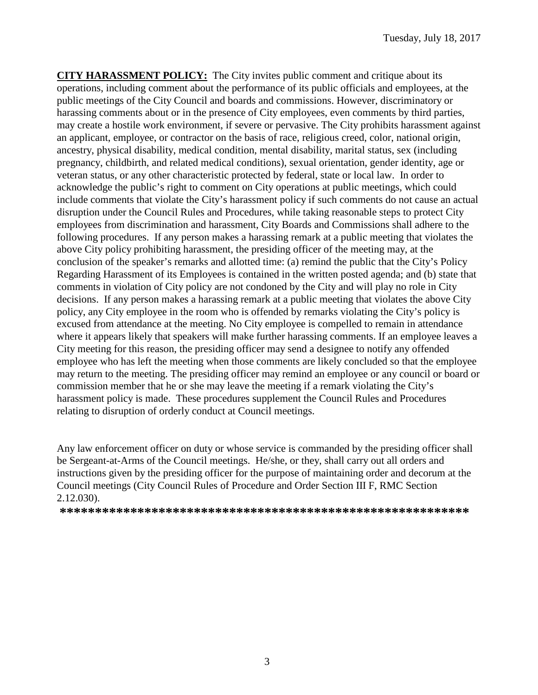**CITY HARASSMENT POLICY:** The City invites public comment and critique about its operations, including comment about the performance of its public officials and employees, at the public meetings of the City Council and boards and commissions. However, discriminatory or harassing comments about or in the presence of City employees, even comments by third parties, may create a hostile work environment, if severe or pervasive. The City prohibits harassment against an applicant, employee, or contractor on the basis of race, religious creed, color, national origin, ancestry, physical disability, medical condition, mental disability, marital status, sex (including pregnancy, childbirth, and related medical conditions), sexual orientation, gender identity, age or veteran status, or any other characteristic protected by federal, state or local law. In order to acknowledge the public's right to comment on City operations at public meetings, which could include comments that violate the City's harassment policy if such comments do not cause an actual disruption under the Council Rules and Procedures, while taking reasonable steps to protect City employees from discrimination and harassment, City Boards and Commissions shall adhere to the following procedures. If any person makes a harassing remark at a public meeting that violates the above City policy prohibiting harassment, the presiding officer of the meeting may, at the conclusion of the speaker's remarks and allotted time: (a) remind the public that the City's Policy Regarding Harassment of its Employees is contained in the written posted agenda; and (b) state that comments in violation of City policy are not condoned by the City and will play no role in City decisions. If any person makes a harassing remark at a public meeting that violates the above City policy, any City employee in the room who is offended by remarks violating the City's policy is excused from attendance at the meeting. No City employee is compelled to remain in attendance where it appears likely that speakers will make further harassing comments. If an employee leaves a City meeting for this reason, the presiding officer may send a designee to notify any offended employee who has left the meeting when those comments are likely concluded so that the employee may return to the meeting. The presiding officer may remind an employee or any council or board or commission member that he or she may leave the meeting if a remark violating the City's harassment policy is made. These procedures supplement the Council Rules and Procedures relating to disruption of orderly conduct at Council meetings.

Any law enforcement officer on duty or whose service is commanded by the presiding officer shall be Sergeant-at-Arms of the Council meetings. He/she, or they, shall carry out all orders and instructions given by the presiding officer for the purpose of maintaining order and decorum at the Council meetings (City Council Rules of Procedure and Order Section III F, RMC Section 2.12.030).

**\*\*\*\*\*\*\*\*\*\*\*\*\*\*\*\*\*\*\*\*\*\*\*\*\*\*\*\*\*\*\*\*\*\*\*\*\*\*\*\*\*\*\*\*\*\*\*\*\*\*\*\*\*\*\*\*\*\***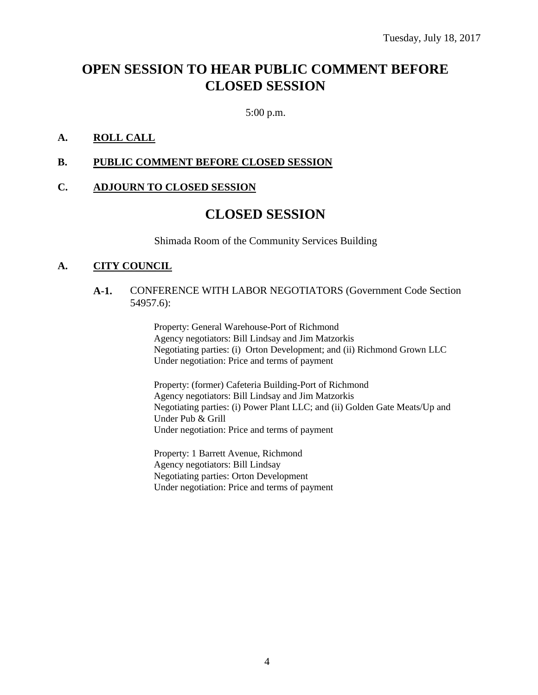# **OPEN SESSION TO HEAR PUBLIC COMMENT BEFORE CLOSED SESSION**

5:00 p.m.

#### **A. ROLL CALL**

#### **B. PUBLIC COMMENT BEFORE CLOSED SESSION**

#### **C. ADJOURN TO CLOSED SESSION**

### **CLOSED SESSION**

Shimada Room of the Community Services Building

#### **A. CITY COUNCIL**

#### **A-1.** CONFERENCE WITH LABOR NEGOTIATORS (Government Code Section 54957.6):

Property: General Warehouse-Port of Richmond Agency negotiators: Bill Lindsay and Jim Matzorkis Negotiating parties: (i) Orton Development; and (ii) Richmond Grown LLC Under negotiation: Price and terms of payment

Property: (former) Cafeteria Building-Port of Richmond Agency negotiators: Bill Lindsay and Jim Matzorkis Negotiating parties: (i) Power Plant LLC; and (ii) Golden Gate Meats/Up and Under Pub & Grill Under negotiation: Price and terms of payment

Property: 1 Barrett Avenue, Richmond Agency negotiators: Bill Lindsay Negotiating parties: Orton Development Under negotiation: Price and terms of payment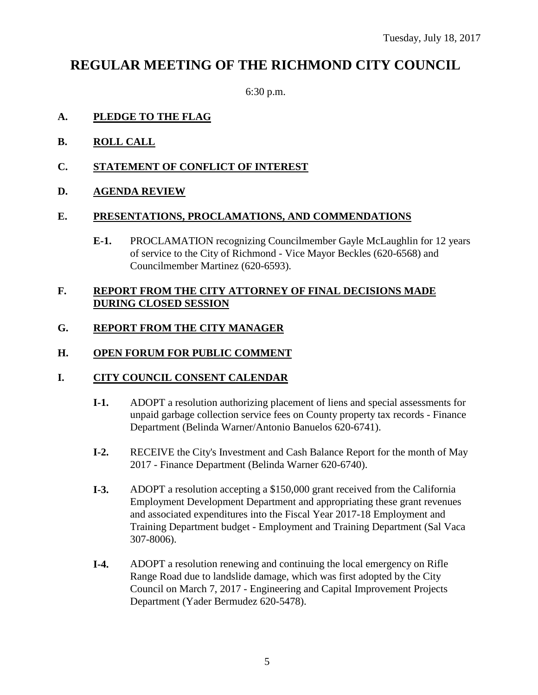# **REGULAR MEETING OF THE RICHMOND CITY COUNCIL**

6:30 p.m.

#### **A. PLEDGE TO THE FLAG**

- **B. ROLL CALL**
- **C. STATEMENT OF CONFLICT OF INTEREST**
- **D. AGENDA REVIEW**

#### **E. PRESENTATIONS, PROCLAMATIONS, AND COMMENDATIONS**

**E-1.** PROCLAMATION recognizing Councilmember Gayle McLaughlin for 12 years of service to the City of Richmond - Vice Mayor Beckles (620-6568) and Councilmember Martinez (620-6593).

#### **F. REPORT FROM THE CITY ATTORNEY OF FINAL DECISIONS MADE DURING CLOSED SESSION**

### **G. REPORT FROM THE CITY MANAGER**

#### **H. OPEN FORUM FOR PUBLIC COMMENT**

#### **I. CITY COUNCIL CONSENT CALENDAR**

- **I-1.** ADOPT a resolution authorizing placement of liens and special assessments for unpaid garbage collection service fees on County property tax records - Finance Department (Belinda Warner/Antonio Banuelos 620-6741).
- **I-2.** RECEIVE the City's Investment and Cash Balance Report for the month of May 2017 - Finance Department (Belinda Warner 620-6740).
- **I-3.** ADOPT a resolution accepting a \$150,000 grant received from the California Employment Development Department and appropriating these grant revenues and associated expenditures into the Fiscal Year 2017-18 Employment and Training Department budget - Employment and Training Department (Sal Vaca 307-8006).
- **I-4.** ADOPT a resolution renewing and continuing the local emergency on Rifle Range Road due to landslide damage, which was first adopted by the City Council on March 7, 2017 - Engineering and Capital Improvement Projects Department (Yader Bermudez 620-5478).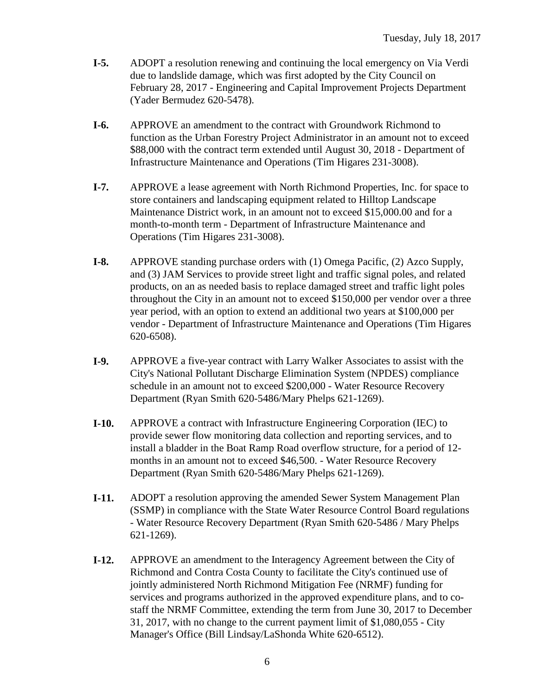- **I-5.** ADOPT a resolution renewing and continuing the local emergency on Via Verdi due to landslide damage, which was first adopted by the City Council on February 28, 2017 - Engineering and Capital Improvement Projects Department (Yader Bermudez 620-5478).
- **I-6.** APPROVE an amendment to the contract with Groundwork Richmond to function as the Urban Forestry Project Administrator in an amount not to exceed \$88,000 with the contract term extended until August 30, 2018 - Department of Infrastructure Maintenance and Operations (Tim Higares 231-3008).
- **I-7.** APPROVE a lease agreement with North Richmond Properties, Inc. for space to store containers and landscaping equipment related to Hilltop Landscape Maintenance District work, in an amount not to exceed \$15,000.00 and for a month-to-month term - Department of Infrastructure Maintenance and Operations (Tim Higares 231-3008).
- **I-8.** APPROVE standing purchase orders with (1) Omega Pacific, (2) Azco Supply, and (3) JAM Services to provide street light and traffic signal poles, and related products, on an as needed basis to replace damaged street and traffic light poles throughout the City in an amount not to exceed \$150,000 per vendor over a three year period, with an option to extend an additional two years at \$100,000 per vendor - Department of Infrastructure Maintenance and Operations (Tim Higares 620-6508).
- **I-9.** APPROVE a five-year contract with Larry Walker Associates to assist with the City's National Pollutant Discharge Elimination System (NPDES) compliance schedule in an amount not to exceed \$200,000 - Water Resource Recovery Department (Ryan Smith 620-5486/Mary Phelps 621-1269).
- **I-10.** APPROVE a contract with Infrastructure Engineering Corporation (IEC) to provide sewer flow monitoring data collection and reporting services, and to install a bladder in the Boat Ramp Road overflow structure, for a period of 12 months in an amount not to exceed \$46,500. - Water Resource Recovery Department (Ryan Smith 620-5486/Mary Phelps 621-1269).
- **I-11.** ADOPT a resolution approving the amended Sewer System Management Plan (SSMP) in compliance with the State Water Resource Control Board regulations - Water Resource Recovery Department (Ryan Smith 620-5486 / Mary Phelps 621-1269).
- **I-12.** APPROVE an amendment to the Interagency Agreement between the City of Richmond and Contra Costa County to facilitate the City's continued use of jointly administered North Richmond Mitigation Fee (NRMF) funding for services and programs authorized in the approved expenditure plans, and to costaff the NRMF Committee, extending the term from June 30, 2017 to December 31, 2017, with no change to the current payment limit of \$1,080,055 - City Manager's Office (Bill Lindsay/LaShonda White 620-6512).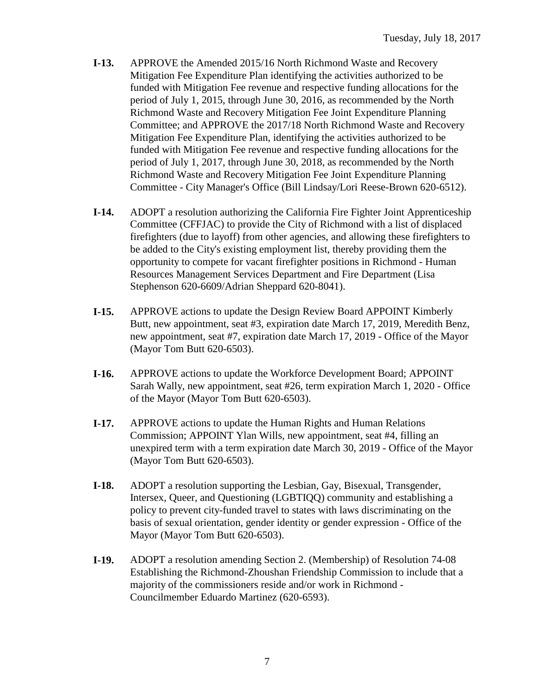- **I-13.** APPROVE the Amended 2015/16 North Richmond Waste and Recovery Mitigation Fee Expenditure Plan identifying the activities authorized to be funded with Mitigation Fee revenue and respective funding allocations for the period of July 1, 2015, through June 30, 2016, as recommended by the North Richmond Waste and Recovery Mitigation Fee Joint Expenditure Planning Committee; and APPROVE the 2017/18 North Richmond Waste and Recovery Mitigation Fee Expenditure Plan, identifying the activities authorized to be funded with Mitigation Fee revenue and respective funding allocations for the period of July 1, 2017, through June 30, 2018, as recommended by the North Richmond Waste and Recovery Mitigation Fee Joint Expenditure Planning Committee - City Manager's Office (Bill Lindsay/Lori Reese-Brown 620-6512).
- **I-14.** ADOPT a resolution authorizing the California Fire Fighter Joint Apprenticeship Committee (CFFJAC) to provide the City of Richmond with a list of displaced firefighters (due to layoff) from other agencies, and allowing these firefighters to be added to the City's existing employment list, thereby providing them the opportunity to compete for vacant firefighter positions in Richmond - Human Resources Management Services Department and Fire Department (Lisa Stephenson 620-6609/Adrian Sheppard 620-8041).
- **I-15.** APPROVE actions to update the Design Review Board APPOINT Kimberly Butt, new appointment, seat #3, expiration date March 17, 2019, Meredith Benz, new appointment, seat #7, expiration date March 17, 2019 - Office of the Mayor (Mayor Tom Butt 620-6503).
- **I-16.** APPROVE actions to update the Workforce Development Board; APPOINT Sarah Wally, new appointment, seat #26, term expiration March 1, 2020 - Office of the Mayor (Mayor Tom Butt 620-6503).
- **I-17.** APPROVE actions to update the Human Rights and Human Relations Commission; APPOINT Ylan Wills, new appointment, seat #4, filling an unexpired term with a term expiration date March 30, 2019 - Office of the Mayor (Mayor Tom Butt 620-6503).
- **I-18.** ADOPT a resolution supporting the Lesbian, Gay, Bisexual, Transgender, Intersex, Queer, and Questioning (LGBTIQQ) community and establishing a policy to prevent city-funded travel to states with laws discriminating on the basis of sexual orientation, gender identity or gender expression - Office of the Mayor (Mayor Tom Butt 620-6503).
- **I-19.** ADOPT a resolution amending Section 2. (Membership) of Resolution 74-08 Establishing the Richmond-Zhoushan Friendship Commission to include that a majority of the commissioners reside and/or work in Richmond - Councilmember Eduardo Martinez (620-6593).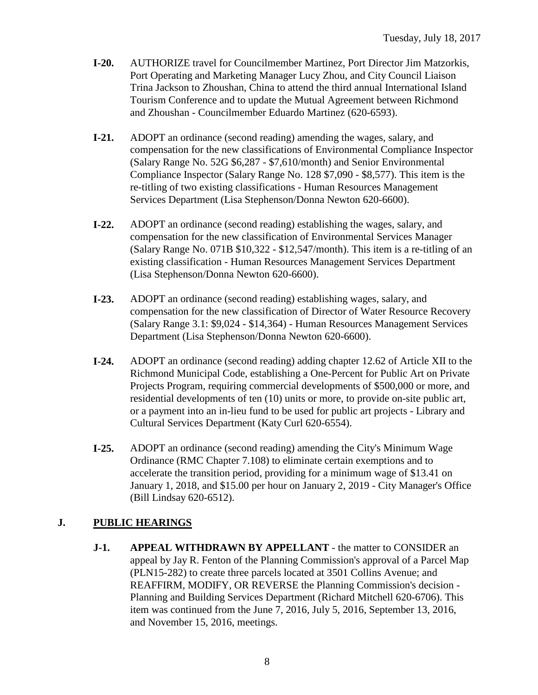- **I-20.** AUTHORIZE travel for Councilmember Martinez, Port Director Jim Matzorkis, Port Operating and Marketing Manager Lucy Zhou, and City Council Liaison Trina Jackson to Zhoushan, China to attend the third annual International Island Tourism Conference and to update the Mutual Agreement between Richmond and Zhoushan - Councilmember Eduardo Martinez (620-6593).
- **I-21.** ADOPT an ordinance (second reading) amending the wages, salary, and compensation for the new classifications of Environmental Compliance Inspector (Salary Range No. 52G \$6,287 - \$7,610/month) and Senior Environmental Compliance Inspector (Salary Range No. 128 \$7,090 - \$8,577). This item is the re-titling of two existing classifications - Human Resources Management Services Department (Lisa Stephenson/Donna Newton 620-6600).
- **I-22.** ADOPT an ordinance (second reading) establishing the wages, salary, and compensation for the new classification of Environmental Services Manager (Salary Range No. 071B \$10,322 - \$12,547/month). This item is a re-titling of an existing classification - Human Resources Management Services Department (Lisa Stephenson/Donna Newton 620-6600).
- **I-23.** ADOPT an ordinance (second reading) establishing wages, salary, and compensation for the new classification of Director of Water Resource Recovery (Salary Range 3.1: \$9,024 - \$14,364) - Human Resources Management Services Department (Lisa Stephenson/Donna Newton 620-6600).
- **I-24.** ADOPT an ordinance (second reading) adding chapter 12.62 of Article XII to the Richmond Municipal Code, establishing a One-Percent for Public Art on Private Projects Program, requiring commercial developments of \$500,000 or more, and residential developments of ten (10) units or more, to provide on-site public art, or a payment into an in-lieu fund to be used for public art projects - Library and Cultural Services Department (Katy Curl 620-6554).
- **I-25.** ADOPT an ordinance (second reading) amending the City's Minimum Wage Ordinance (RMC Chapter 7.108) to eliminate certain exemptions and to accelerate the transition period, providing for a minimum wage of \$13.41 on January 1, 2018, and \$15.00 per hour on January 2, 2019 - City Manager's Office (Bill Lindsay 620-6512).

### **J. PUBLIC HEARINGS**

**J-1. APPEAL WITHDRAWN BY APPELLANT** - the matter to CONSIDER an appeal by Jay R. Fenton of the Planning Commission's approval of a Parcel Map (PLN15-282) to create three parcels located at 3501 Collins Avenue; and REAFFIRM, MODIFY, OR REVERSE the Planning Commission's decision - Planning and Building Services Department (Richard Mitchell 620-6706). This item was continued from the June 7, 2016, July 5, 2016, September 13, 2016, and November 15, 2016, meetings.